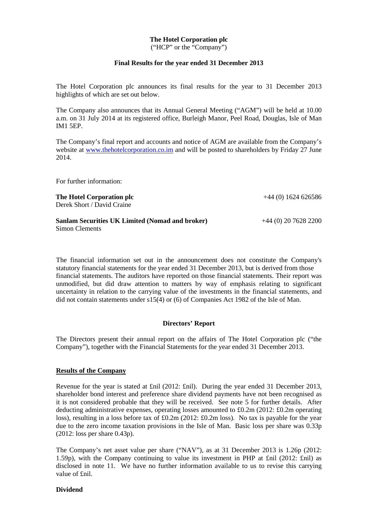# **The Hotel Corporation plc**

("HCP" or the "Company")

### **Final Results for the year ended 31 December 2013**

The Hotel Corporation plc announces its final results for the year to 31 December 2013 highlights of which are set out below.

The Company also announces that its Annual General Meeting ("AGM") will be held at 10.00 a.m. on 31 July 2014 at its registered office, Burleigh Manor, Peel Road, Douglas, Isle of Man IM1 5EP.

The Company's final report and accounts and notice of AGM are available from the Company's website at www.thehotelcorporation.co.im and will be posted to shareholders by Friday 27 June 2014.

For further information:

**The Hotel Corporation plc**  Derek Short / David Craine

+44 (0) 1624 626586

+44 (0) 20 7628 2200

**Sanlam Securities UK Limited (Nomad and broker)** Simon Clements

The financial information set out in the announcement does not constitute the Company's statutory financial statements for the year ended 31 December 2013, but is derived from those financial statements. The auditors have reported on those financial statements. Their report was unmodified, but did draw attention to matters by way of emphasis relating to significant uncertainty in relation to the carrying value of the investments in the financial statements, and did not contain statements under s15(4) or (6) of Companies Act 1982 of the Isle of Man.

#### **Directors' Report**

The Directors present their annual report on the affairs of The Hotel Corporation plc ("the Company"), together with the Financial Statements for the year ended 31 December 2013.

# **Results of the Company**

Revenue for the year is stated at £nil (2012: £nil). During the year ended 31 December 2013, shareholder bond interest and preference share dividend payments have not been recognised as it is not considered probable that they will be received. See note 5 for further details. After deducting administrative expenses, operating losses amounted to £0.2m (2012: £0.2m operating loss), resulting in a loss before tax of £0.2m (2012: £0.2m loss). No tax is payable for the year due to the zero income taxation provisions in the Isle of Man. Basic loss per share was 0.33p (2012: loss per share 0.43p).

The Company's net asset value per share ("NAV"), as at 31 December 2013 is 1.26p (2012: 1.59p), with the Company continuing to value its investment in PHP at £nil (2012: £nil) as disclosed in note 11. We have no further information available to us to revise this carrying value of £nil.

### **Dividend**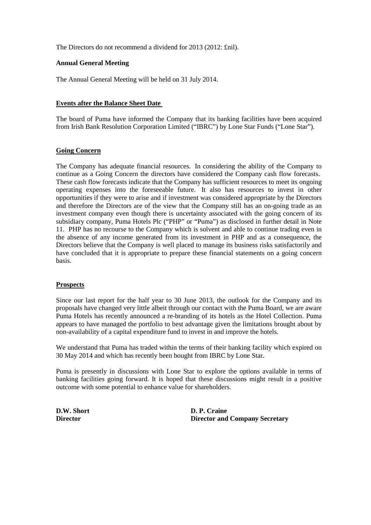The Directors do not recommend a dividend for 2013 (2012: £nil).

# **Annual General Meeting**

The Annual General Meeting will be held on 31 July 2014.

# **Events after the Balance Sheet Date**

The board of Puma have informed the Company that its banking facilities have been acquired from Irish Bank Resolution Corporation Limited ("IBRC") by Lone Star Funds ("Lone Star").

# **Going Concern**

The Company has adequate financial resources. In considering the ability of the Company to continue as a Going Concern the directors have considered the Company cash flow forecasts. These cash flow forecasts indicate that the Company has sufficient resources to meet its ongoing operating expenses into the foreseeable future. It also has resources to invest in other opportunities if they were to arise and if investment was considered appropriate by the Directors and therefore the Directors are of the view that the Company still has an on-going trade as an investment company even though there is uncertainty associated with the going concern of its subsidiary company, Puma Hotels Plc ("PHP" or "Puma") as disclosed in further detail in Note 11. PHP has no recourse to the Company which is solvent and able to continue trading even in the absence of any income generated from its investment in PHP and as a consequence, the Directors believe that the Company is well placed to manage its business risks satisfactorily and have concluded that it is appropriate to prepare these financial statements on a going concern basis.

# **Prospects**

Since our last report for the half year to 30 June 2013, the outlook for the Company and its proposals have changed very little albeit through our contact with the Puma Board, we are aware Puma Hotels has recently announced a re-branding of its hotels as the Hotel Collection. Puma appears to have managed the portfolio to best advantage given the limitations brought about by non-availability of a capital expenditure fund to invest in and improve the hotels.

We understand that Puma has traded within the terms of their banking facility which expired on 30 May 2014 and which has recently been bought from IBRC by Lone Star.

Puma is presently in discussions with Lone Star to explore the options available in terms of banking facilities going forward. It is hoped that these discussions might result in a positive outcome with some potential to enhance value for shareholders.

**D.W. Short D. P. Craine Director Director and Company Secretary**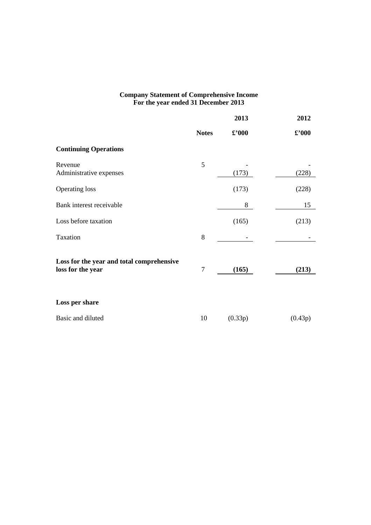### **Company Statement of Comprehensive Income For the year ended 31 December 2013**

|                                                                |                | 2013                 | 2012           |
|----------------------------------------------------------------|----------------|----------------------|----------------|
|                                                                | <b>Notes</b>   | $\pmb{\pounds}$ '000 | $\pounds$ '000 |
| <b>Continuing Operations</b>                                   |                |                      |                |
| Revenue<br>Administrative expenses                             | 5              | (173)                | (228)          |
| <b>Operating loss</b>                                          |                | (173)                | (228)          |
| Bank interest receivable                                       |                | 8                    | 15             |
| Loss before taxation                                           |                | (165)                | (213)          |
| Taxation                                                       | 8              |                      |                |
| Loss for the year and total comprehensive<br>loss for the year | $\overline{7}$ | (165)                | (213)          |
| Loss per share                                                 |                |                      |                |
| Basic and diluted                                              | 10             | (0.33p)              | (0.43p)        |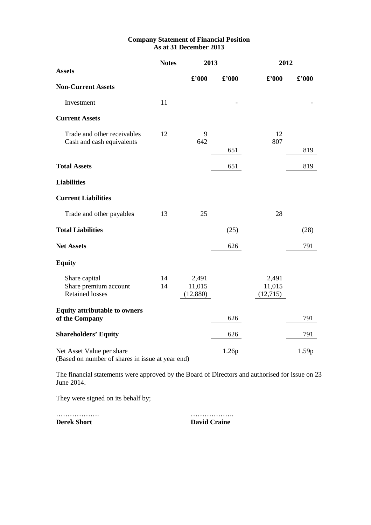# **Company Statement of Financial Position As at 31 December 2013**

|                                                                               | <b>Notes</b> |                              | 2013           |                              | 2012           |
|-------------------------------------------------------------------------------|--------------|------------------------------|----------------|------------------------------|----------------|
| <b>Assets</b>                                                                 |              | $\pounds$ '000               | $\pounds$ '000 | $\pounds$ '000               | $\pounds$ '000 |
| <b>Non-Current Assets</b>                                                     |              |                              |                |                              |                |
| Investment                                                                    | 11           |                              |                |                              |                |
| <b>Current Assets</b>                                                         |              |                              |                |                              |                |
| Trade and other receivables<br>Cash and cash equivalents                      | 12           | 9<br>642                     |                | 12<br>807                    |                |
|                                                                               |              |                              | 651            |                              | 819            |
| <b>Total Assets</b>                                                           |              |                              | 651            |                              | 819            |
| <b>Liabilities</b>                                                            |              |                              |                |                              |                |
| <b>Current Liabilities</b>                                                    |              |                              |                |                              |                |
| Trade and other payables                                                      | 13           | 25                           |                | 28                           |                |
| <b>Total Liabilities</b>                                                      |              |                              | (25)           |                              | (28)           |
| <b>Net Assets</b>                                                             |              |                              | 626            |                              | 791            |
| <b>Equity</b>                                                                 |              |                              |                |                              |                |
| Share capital<br>Share premium account<br><b>Retained losses</b>              | 14<br>14     | 2,491<br>11,015<br>(12, 880) |                | 2,491<br>11,015<br>(12, 715) |                |
| <b>Equity attributable to owners</b><br>of the Company                        |              |                              | 626            |                              | 791            |
| <b>Shareholders' Equity</b>                                                   |              |                              | 626            |                              | 791            |
| Net Asset Value per share<br>(Based on number of shares in issue at year end) |              |                              | 1.26p          |                              | 1.59p          |

The financial statements were approved by the Board of Directors and authorised for issue on 23 June 2014.

They were signed on its behalf by;

………………. ………………. **Derek Short David Craine David Craine**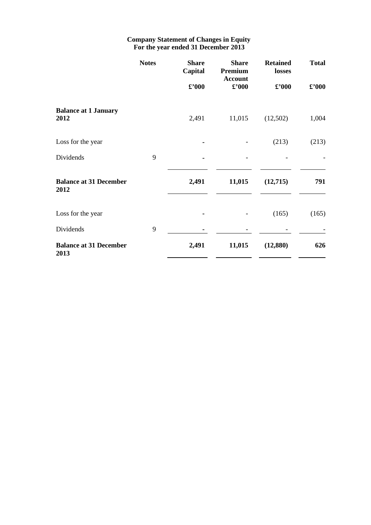# **Company Statement of Changes in Equity For the year ended 31 December 2013**

|                                       | <b>Notes</b> | <b>Share</b><br>Capital | <b>Share</b><br>Premium<br><b>Account</b> | <b>Retained</b><br>losses | <b>Total</b>                |
|---------------------------------------|--------------|-------------------------|-------------------------------------------|---------------------------|-----------------------------|
|                                       |              | $\pounds$ '000          | $\pounds$ '000                            | $\pounds$ '000            | $\pmb{\pounds}^{\prime}000$ |
| <b>Balance at 1 January</b><br>2012   |              | 2,491                   | 11,015                                    | (12,502)                  | 1,004                       |
| Loss for the year                     |              |                         |                                           | (213)                     | (213)                       |
| Dividends                             | 9            |                         |                                           |                           |                             |
| <b>Balance at 31 December</b><br>2012 |              | 2,491                   | 11,015                                    | (12,715)                  | 791                         |
| Loss for the year                     |              |                         |                                           | (165)                     | (165)                       |
| Dividends                             | 9            |                         |                                           |                           |                             |
| <b>Balance at 31 December</b><br>2013 |              | 2,491                   | 11,015                                    | (12, 880)                 | 626                         |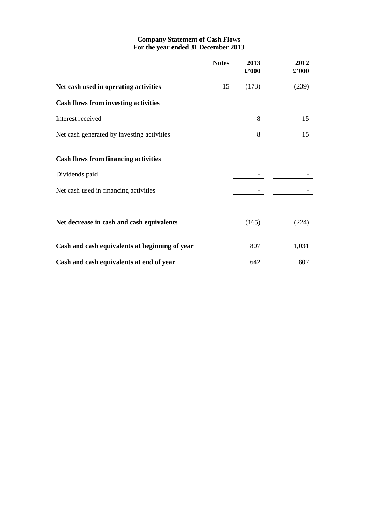# **Company Statement of Cash Flows For the year ended 31 December 2013**

|                                                | <b>Notes</b> | 2013<br>$\pmb{\pmb{\mathfrak{L}^*}}$ 000 | 2012<br>$\pmb{\pounds}$ '000 |
|------------------------------------------------|--------------|------------------------------------------|------------------------------|
| Net cash used in operating activities          | 15           | (173)                                    | (239)                        |
| <b>Cash flows from investing activities</b>    |              |                                          |                              |
| Interest received                              |              | 8                                        | 15                           |
| Net cash generated by investing activities     |              | 8                                        | 15                           |
| <b>Cash flows from financing activities</b>    |              |                                          |                              |
| Dividends paid                                 |              |                                          |                              |
| Net cash used in financing activities          |              |                                          |                              |
|                                                |              |                                          |                              |
| Net decrease in cash and cash equivalents      |              | (165)                                    | (224)                        |
| Cash and cash equivalents at beginning of year |              | 807                                      | 1,031                        |
| Cash and cash equivalents at end of year       |              | 642                                      | 807                          |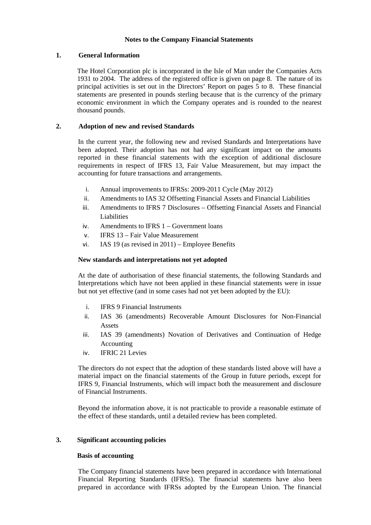# **Notes to the Company Financial Statements**

# **1. General Information**

The Hotel Corporation plc is incorporated in the Isle of Man under the Companies Acts 1931 to 2004. The address of the registered office is given on page 8. The nature of its principal activities is set out in the Directors' Report on pages 5 to 8. These financial statements are presented in pounds sterling because that is the currency of the primary economic environment in which the Company operates and is rounded to the nearest thousand pounds.

# **2. Adoption of new and revised Standards**

In the current year, the following new and revised Standards and Interpretations have been adopted. Their adoption has not had any significant impact on the amounts reported in these financial statements with the exception of additional disclosure requirements in respect of IFRS 13, Fair Value Measurement, but may impact the accounting for future transactions and arrangements.

- i. Annual improvements to IFRSs: 2009-2011 Cycle (May 2012)
- ii. Amendments to IAS 32 Offsetting Financial Assets and Financial Liabilities
- iii. Amendments to IFRS 7 Disclosures Offsetting Financial Assets and Financial Liabilities
- iv. Amendments to IFRS 1 Government loans
- v. IFRS 13 Fair Value Measurement
- vi. IAS 19 (as revised in 2011) Employee Benefits

# **New standards and interpretations not yet adopted**

At the date of authorisation of these financial statements, the following Standards and Interpretations which have not been applied in these financial statements were in issue but not yet effective (and in some cases had not yet been adopted by the EU):

- i. IFRS 9 Financial Instruments
- ii. IAS 36 (amendments) Recoverable Amount Disclosures for Non-Financial Assets
- iii. IAS 39 (amendments) Novation of Derivatives and Continuation of Hedge Accounting
- iv. IFRIC 21 Levies

The directors do not expect that the adoption of these standards listed above will have a material impact on the financial statements of the Group in future periods, except for IFRS 9, Financial Instruments, which will impact both the measurement and disclosure of Financial Instruments.

Beyond the information above, it is not practicable to provide a reasonable estimate of the effect of these standards, until a detailed review has been completed.

# **3. Significant accounting policies**

# **Basis of accounting**

The Company financial statements have been prepared in accordance with International Financial Reporting Standards (IFRSs). The financial statements have also been prepared in accordance with IFRSs adopted by the European Union. The financial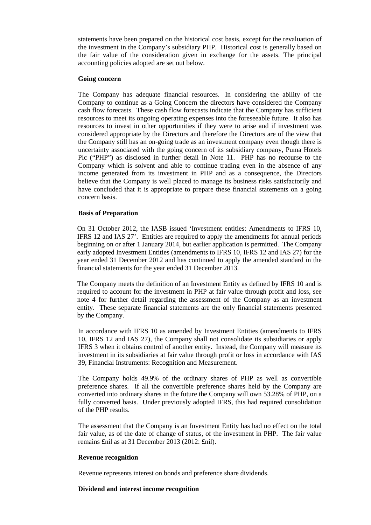statements have been prepared on the historical cost basis, except for the revaluation of the investment in the Company's subsidiary PHP. Historical cost is generally based on the fair value of the consideration given in exchange for the assets. The principal accounting policies adopted are set out below.

#### **Going concern**

The Company has adequate financial resources. In considering the ability of the Company to continue as a Going Concern the directors have considered the Company cash flow forecasts. These cash flow forecasts indicate that the Company has sufficient resources to meet its ongoing operating expenses into the foreseeable future. It also has resources to invest in other opportunities if they were to arise and if investment was considered appropriate by the Directors and therefore the Directors are of the view that the Company still has an on-going trade as an investment company even though there is uncertainty associated with the going concern of its subsidiary company, Puma Hotels Plc ("PHP") as disclosed in further detail in Note 11. PHP has no recourse to the Company which is solvent and able to continue trading even in the absence of any income generated from its investment in PHP and as a consequence, the Directors believe that the Company is well placed to manage its business risks satisfactorily and have concluded that it is appropriate to prepare these financial statements on a going concern basis.

#### **Basis of Preparation**

On 31 October 2012, the IASB issued 'Investment entities: Amendments to IFRS 10, IFRS 12 and IAS 27'. Entities are required to apply the amendments for annual periods beginning on or after 1 January 2014, but earlier application is permitted. The Company early adopted Investment Entities (amendments to IFRS 10, IFRS 12 and IAS 27) for the year ended 31 December 2012 and has continued to apply the amended standard in the financial statements for the year ended 31 December 2013.

The Company meets the definition of an Investment Entity as defined by IFRS 10 and is required to account for the investment in PHP at fair value through profit and loss, see note 4 for further detail regarding the assessment of the Company as an investment entity. These separate financial statements are the only financial statements presented by the Company.

In accordance with IFRS 10 as amended by Investment Entities (amendments to IFRS 10, IFRS 12 and IAS 27), the Company shall not consolidate its subsidiaries or apply IFRS 3 when it obtains control of another entity. Instead, the Company will measure its investment in its subsidiaries at fair value through profit or loss in accordance with IAS 39, Financial Instruments: Recognition and Measurement.

The Company holds 49.9% of the ordinary shares of PHP as well as convertible preference shares. If all the convertible preference shares held by the Company are converted into ordinary shares in the future the Company will own 53.28% of PHP, on a fully converted basis. Under previously adopted IFRS, this had required consolidation of the PHP results.

The assessment that the Company is an Investment Entity has had no effect on the total fair value, as of the date of change of status, of the investment in PHP. The fair value remains £nil as at 31 December 2013 (2012: £nil).

# **Revenue recognition**

Revenue represents interest on bonds and preference share dividends.

#### **Dividend and interest income recognition**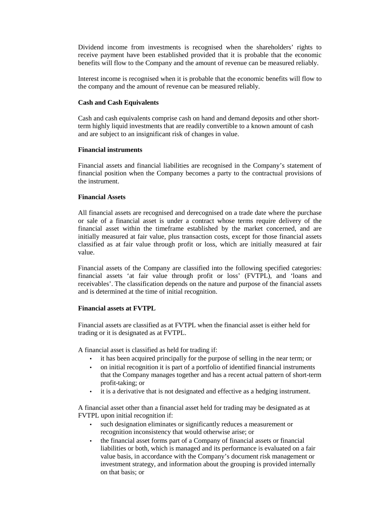Dividend income from investments is recognised when the shareholders' rights to receive payment have been established provided that it is probable that the economic benefits will flow to the Company and the amount of revenue can be measured reliably.

Interest income is recognised when it is probable that the economic benefits will flow to the company and the amount of revenue can be measured reliably.

#### **Cash and Cash Equivalents**

Cash and cash equivalents comprise cash on hand and demand deposits and other shortterm highly liquid investments that are readily convertible to a known amount of cash and are subject to an insignificant risk of changes in value.

#### **Financial instruments**

Financial assets and financial liabilities are recognised in the Company's statement of financial position when the Company becomes a party to the contractual provisions of the instrument.

#### **Financial Assets**

All financial assets are recognised and derecognised on a trade date where the purchase or sale of a financial asset is under a contract whose terms require delivery of the financial asset within the timeframe established by the market concerned, and are initially measured at fair value, plus transaction costs, except for those financial assets classified as at fair value through profit or loss, which are initially measured at fair value.

Financial assets of the Company are classified into the following specified categories: financial assets 'at fair value through profit or loss' (FVTPL), and 'loans and receivables'. The classification depends on the nature and purpose of the financial assets and is determined at the time of initial recognition.

# **Financial assets at FVTPL**

Financial assets are classified as at FVTPL when the financial asset is either held for trading or it is designated as at FVTPL.

A financial asset is classified as held for trading if:

- it has been acquired principally for the purpose of selling in the near term; or
- on initial recognition it is part of a portfolio of identified financial instruments that the Company manages together and has a recent actual pattern of short-term profit-taking; or
- it is a derivative that is not designated and effective as a hedging instrument.

A financial asset other than a financial asset held for trading may be designated as at FVTPL upon initial recognition if:

- such designation eliminates or significantly reduces a measurement or recognition inconsistency that would otherwise arise; or
- the financial asset forms part of a Company of financial assets or financial liabilities or both, which is managed and its performance is evaluated on a fair value basis, in accordance with the Company's document risk management or investment strategy, and information about the grouping is provided internally on that basis; or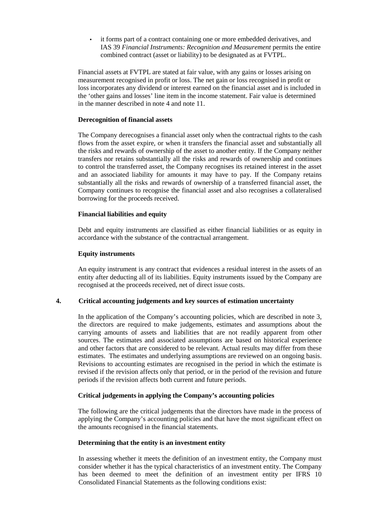it forms part of a contract containing one or more embedded derivatives, and IAS 39 *Financial Instruments: Recognition and Measurement* permits the entire combined contract (asset or liability) to be designated as at FVTPL.

Financial assets at FVTPL are stated at fair value, with any gains or losses arising on measurement recognised in profit or loss. The net gain or loss recognised in profit or loss incorporates any dividend or interest earned on the financial asset and is included in the 'other gains and losses' line item in the income statement. Fair value is determined in the manner described in note 4 and note 11.

# **Derecognition of financial assets**

The Company derecognises a financial asset only when the contractual rights to the cash flows from the asset expire, or when it transfers the financial asset and substantially all the risks and rewards of ownership of the asset to another entity. If the Company neither transfers nor retains substantially all the risks and rewards of ownership and continues to control the transferred asset, the Company recognises its retained interest in the asset and an associated liability for amounts it may have to pay. If the Company retains substantially all the risks and rewards of ownership of a transferred financial asset, the Company continues to recognise the financial asset and also recognises a collateralised borrowing for the proceeds received.

#### **Financial liabilities and equity**

Debt and equity instruments are classified as either financial liabilities or as equity in accordance with the substance of the contractual arrangement.

#### **Equity instruments**

An equity instrument is any contract that evidences a residual interest in the assets of an entity after deducting all of its liabilities. Equity instruments issued by the Company are recognised at the proceeds received, net of direct issue costs.

# **4. Critical accounting judgements and key sources of estimation uncertainty**

In the application of the Company's accounting policies, which are described in note 3, the directors are required to make judgements, estimates and assumptions about the carrying amounts of assets and liabilities that are not readily apparent from other sources. The estimates and associated assumptions are based on historical experience and other factors that are considered to be relevant. Actual results may differ from these estimates. The estimates and underlying assumptions are reviewed on an ongoing basis. Revisions to accounting estimates are recognised in the period in which the estimate is revised if the revision affects only that period, or in the period of the revision and future periods if the revision affects both current and future periods.

#### **Critical judgements in applying the Company's accounting policies**

The following are the critical judgements that the directors have made in the process of applying the Company's accounting policies and that have the most significant effect on the amounts recognised in the financial statements.

#### **Determining that the entity is an investment entity**

In assessing whether it meets the definition of an investment entity, the Company must consider whether it has the typical characteristics of an investment entity. The Company has been deemed to meet the definition of an investment entity per IFRS 10 Consolidated Financial Statements as the following conditions exist: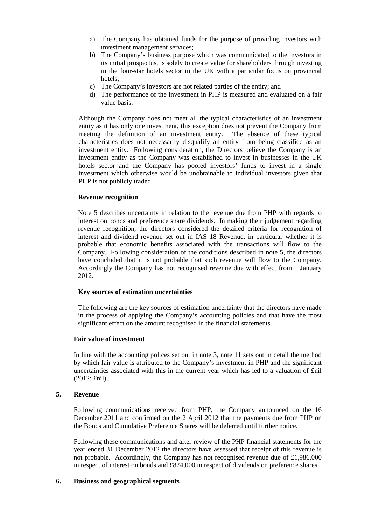- a) The Company has obtained funds for the purpose of providing investors with investment management services;
- b) The Company's business purpose which was communicated to the investors in its initial prospectus, is solely to create value for shareholders through investing in the four-star hotels sector in the UK with a particular focus on provincial hotels;
- c) The Company's investors are not related parties of the entity; and
- d) The performance of the investment in PHP is measured and evaluated on a fair value basis.

Although the Company does not meet all the typical characteristics of an investment entity as it has only one investment, this exception does not prevent the Company from meeting the definition of an investment entity. The absence of these typical characteristics does not necessarily disqualify an entity from being classified as an investment entity. Following consideration, the Directors believe the Company is an investment entity as the Company was established to invest in businesses in the UK hotels sector and the Company has pooled investors' funds to invest in a single investment which otherwise would be unobtainable to individual investors given that PHP is not publicly traded.

# **Revenue recognition**

Note 5 describes uncertainty in relation to the revenue due from PHP with regards to interest on bonds and preference share dividends. In making their judgement regarding revenue recognition, the directors considered the detailed criteria for recognition of interest and dividend revenue set out in IAS 18 Revenue, in particular whether it is probable that economic benefits associated with the transactions will flow to the Company. Following consideration of the conditions described in note 5, the directors have concluded that it is not probable that such revenue will flow to the Company. Accordingly the Company has not recognised revenue due with effect from 1 January 2012.

# **Key sources of estimation uncertainties**

The following are the key sources of estimation uncertainty that the directors have made in the process of applying the Company's accounting policies and that have the most significant effect on the amount recognised in the financial statements.

# **Fair value of investment**

In line with the accounting polices set out in note 3, note 11 sets out in detail the method by which fair value is attributed to the Company's investment in PHP and the significant uncertainties associated with this in the current year which has led to a valuation of £nil (2012: £nil) .

# **5. Revenue**

Following communications received from PHP, the Company announced on the 16 December 2011 and confirmed on the 2 April 2012 that the payments due from PHP on the Bonds and Cumulative Preference Shares will be deferred until further notice.

Following these communications and after review of the PHP financial statements for the year ended 31 December 2012 the directors have assessed that receipt of this revenue is not probable. Accordingly, the Company has not recognised revenue due of £1,986,000 in respect of interest on bonds and £824,000 in respect of dividends on preference shares.

# **6. Business and geographical segments**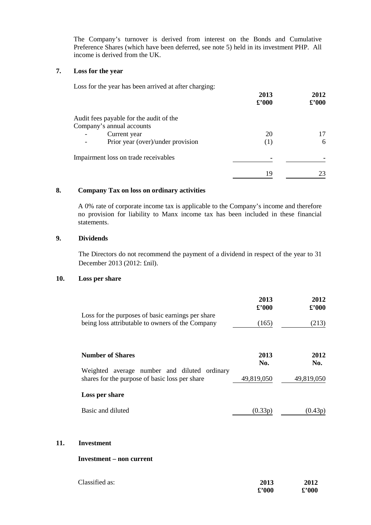The Company's turnover is derived from interest on the Bonds and Cumulative Preference Shares (which have been deferred, see note 5) held in its investment PHP. All income is derived from the UK.

### **7. Loss for the year**

| Loss for the year has been arrived at after charging: |                |                             |
|-------------------------------------------------------|----------------|-----------------------------|
|                                                       | 2013           | 2012                        |
|                                                       | $\pounds$ '000 | $\pmb{\pounds}^{\prime}000$ |
| Audit fees payable for the audit of the               |                |                             |
| Company's annual accounts                             |                |                             |
| Current year                                          | 20             | 17                          |
| Prior year (over)/under provision                     | (1)            | 6                           |
| Impairment loss on trade receivables                  |                |                             |
|                                                       | 19             | 23                          |

# **8. Company Tax on loss on ordinary activities**

A 0% rate of corporate income tax is applicable to the Company's income and therefore no provision for liability to Manx income tax has been included in these financial statements.

# **9. Dividends**

The Directors do not recommend the payment of a dividend in respect of the year to 31 December 2013 (2012: £nil).

### **10. Loss per share**

|                                                                                                       | 2013<br>$\pounds$ '000 | 2012<br>$\pounds$ '000 |
|-------------------------------------------------------------------------------------------------------|------------------------|------------------------|
| Loss for the purposes of basic earnings per share<br>being loss attributable to owners of the Company | (165)                  | (213)                  |
| <b>Number of Shares</b>                                                                               | 2013<br>No.            | 2012<br>No.            |
| average number and diluted ordinary<br>Weighted<br>shares for the purpose of basic loss per share     | 49,819,050             | 49,819,050             |
| Loss per share                                                                                        |                        |                        |
| Basic and diluted                                                                                     | (0.33p)                | (U.43p)                |

#### **11. Investment**

#### **Investment – non current**

| Classified as: | 2013           | 2012           |
|----------------|----------------|----------------|
|                | $\pounds$ '000 | $\pounds$ '000 |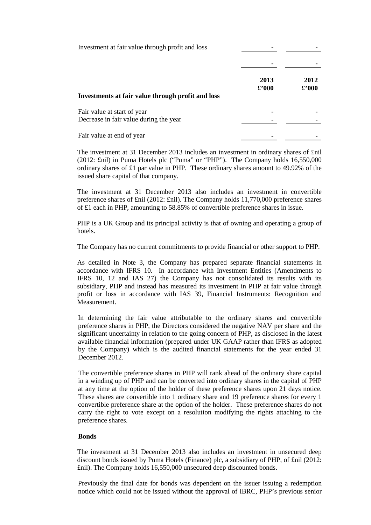| Investment at fair value through profit and loss                      |                        |                       |
|-----------------------------------------------------------------------|------------------------|-----------------------|
| Investments at fair value through profit and loss                     | 2013<br>$\pounds$ '000 | 2012<br>$\pounds 000$ |
| Fair value at start of year<br>Decrease in fair value during the year |                        |                       |
| Fair value at end of year                                             |                        |                       |

The investment at 31 December 2013 includes an investment in ordinary shares of £nil (2012: £nil) in Puma Hotels plc ("Puma" or "PHP"). The Company holds 16,550,000 ordinary shares of £1 par value in PHP. These ordinary shares amount to 49.92% of the issued share capital of that company.

The investment at 31 December 2013 also includes an investment in convertible preference shares of £nil (2012: £nil). The Company holds 11,770,000 preference shares of £1 each in PHP, amounting to 58.85% of convertible preference shares in issue.

PHP is a UK Group and its principal activity is that of owning and operating a group of hotels.

The Company has no current commitments to provide financial or other support to PHP.

As detailed in Note 3, the Company has prepared separate financial statements in accordance with IFRS 10. In accordance with Investment Entities (Amendments to IFRS 10, 12 and IAS 27) the Company has not consolidated its results with its subsidiary, PHP and instead has measured its investment in PHP at fair value through profit or loss in accordance with IAS 39, Financial Instruments: Recognition and Measurement.

In determining the fair value attributable to the ordinary shares and convertible preference shares in PHP, the Directors considered the negative NAV per share and the significant uncertainty in relation to the going concern of PHP, as disclosed in the latest available financial information (prepared under UK GAAP rather than IFRS as adopted by the Company) which is the audited financial statements for the year ended 31 December 2012.

The convertible preference shares in PHP will rank ahead of the ordinary share capital in a winding up of PHP and can be converted into ordinary shares in the capital of PHP at any time at the option of the holder of these preference shares upon 21 days notice. These shares are convertible into 1 ordinary share and 19 preference shares for every 1 convertible preference share at the option of the holder. These preference shares do not carry the right to vote except on a resolution modifying the rights attaching to the preference shares.

# **Bonds**

The investment at 31 December 2013 also includes an investment in unsecured deep discount bonds issued by Puma Hotels (Finance) plc, a subsidiary of PHP, of £nil (2012: £nil). The Company holds 16,550,000 unsecured deep discounted bonds.

Previously the final date for bonds was dependent on the issuer issuing a redemption notice which could not be issued without the approval of IBRC, PHP's previous senior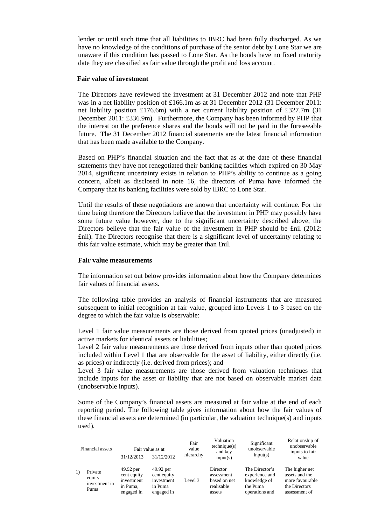lender or until such time that all liabilities to IBRC had been fully discharged. As we have no knowledge of the conditions of purchase of the senior debt by Lone Star we are unaware if this condition has passed to Lone Star. As the bonds have no fixed maturity date they are classified as fair value through the profit and loss account.

#### **Fair value of investment**

The Directors have reviewed the investment at 31 December 2012 and note that PHP was in a net liability position of £166.1m as at 31 December 2012 (31 December 2011: net liability position £176.6m) with a net current liability position of £327.7m (31 December 2011: £336.9m). Furthermore, the Company has been informed by PHP that the interest on the preference shares and the bonds will not be paid in the foreseeable future. The 31 December 2012 financial statements are the latest financial information that has been made available to the Company.

Based on PHP's financial situation and the fact that as at the date of these financial statements they have not renegotiated their banking facilities which expired on 30 May 2014, significant uncertainty exists in relation to PHP's ability to continue as a going concern, albeit as disclosed in note 16, the directors of Puma have informed the Company that its banking facilities were sold by IBRC to Lone Star.

Until the results of these negotiations are known that uncertainty will continue. For the time being therefore the Directors believe that the investment in PHP may possibly have some future value however, due to the significant uncertainty described above, the Directors believe that the fair value of the investment in PHP should be £nil (2012: £nil). The Directors recognise that there is a significant level of uncertainty relating to this fair value estimate, which may be greater than £nil.

### **Fair value measurements**

The information set out below provides information about how the Company determines fair values of financial assets.

The following table provides an analysis of financial instruments that are measured subsequent to initial recognition at fair value, grouped into Levels 1 to 3 based on the degree to which the fair value is observable:

Level 1 fair value measurements are those derived from quoted prices (unadjusted) in active markets for identical assets or liabilities;

Level 2 fair value measurements are those derived from inputs other than quoted prices included within Level 1 that are observable for the asset of liability, either directly (i.e. as prices) or indirectly (i.e. derived from prices); and

Level 3 fair value measurements are those derived from valuation techniques that include inputs for the asset or liability that are not based on observable market data (unobservable inputs).

Some of the Company's financial assets are measured at fair value at the end of each reporting period. The following table gives information about how the fair values of these financial assets are determined (in particular, the valuation technique(s) and inputs used).

| Financial assets |                                            | Fair value as at                                                 |                                                                 | Fair<br>value | Valuation<br>technique(s)<br>and key                           | Significant<br>unobservable                                                    | Relationship of<br>unobservable<br>inputs to fair                                     |
|------------------|--------------------------------------------|------------------------------------------------------------------|-----------------------------------------------------------------|---------------|----------------------------------------------------------------|--------------------------------------------------------------------------------|---------------------------------------------------------------------------------------|
|                  |                                            | 31/12/2013                                                       | 31/12/2012                                                      | hierarchy     | input(s)                                                       | input(s)                                                                       | value                                                                                 |
| $\left( \right)$ | Private<br>equity<br>investment in<br>Puma | 49.92 per<br>cent equity<br>investment<br>in Puma,<br>engaged in | 49.92 per<br>cent equity<br>investment<br>in Puma<br>engaged in | Level 3       | Director<br>assessment<br>based on net<br>realisable<br>assets | The Director's<br>experience and<br>knowledge of<br>the Puma<br>operations and | The higher net<br>assets and the<br>more favourable<br>the Directors<br>assessment of |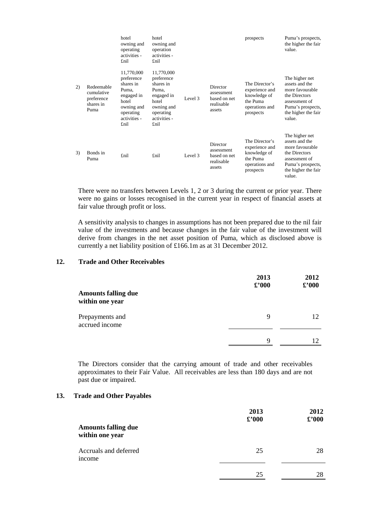|    |                                                             | hotel<br>owning and<br>operating<br>activities -<br>£nil                                                                 | hotel<br>owning and<br>operation<br>activities -<br>£nil                                                                 |         |                                                                | prospects                                                                                   | Puma's prospects,<br>the higher the fair<br>value.                                                                                          |
|----|-------------------------------------------------------------|--------------------------------------------------------------------------------------------------------------------------|--------------------------------------------------------------------------------------------------------------------------|---------|----------------------------------------------------------------|---------------------------------------------------------------------------------------------|---------------------------------------------------------------------------------------------------------------------------------------------|
| 2) | Redeemable<br>cumulative<br>preference<br>shares in<br>Puma | 11,770,000<br>preference<br>shares in<br>Puma,<br>engaged in<br>hotel<br>owning and<br>operating<br>activities -<br>£nil | 11,770,000<br>preference<br>shares in<br>Puma,<br>engaged in<br>hotel<br>owning and<br>operating<br>activities -<br>£nil | Level 3 | Director<br>assessment<br>based on net<br>realisable<br>assets | The Director's<br>experience and<br>knowledge of<br>the Puma<br>operations and<br>prospects | The higher net<br>assets and the<br>more favourable<br>the Directors<br>assessment of<br>Puma's prospects,<br>the higher the fair<br>value. |
| 3) | Bonds in<br>Puma                                            | £nil                                                                                                                     | £nil                                                                                                                     | Level 3 | Director<br>assessment<br>based on net<br>realisable<br>assets | The Director's<br>experience and<br>knowledge of<br>the Puma<br>operations and<br>prospects | The higher net<br>assets and the<br>more favourable<br>the Directors<br>assessment of<br>Puma's prospects,<br>the higher the fair<br>value. |

There were no transfers between Levels 1, 2 or 3 during the current or prior year. There were no gains or losses recognised in the current year in respect of financial assets at fair value through profit or loss.

A sensitivity analysis to changes in assumptions has not been prepared due to the nil fair value of the investments and because changes in the fair value of the investment will derive from changes in the net asset position of Puma, which as disclosed above is currently a net liability position of £166.1m as at 31 December 2012.

# **12. Trade and Other Receivables**

| <b>Amounts falling due</b><br>within one year | 2013<br>$\pounds$ '000 | 2012<br>£'000 |
|-----------------------------------------------|------------------------|---------------|
| Prepayments and<br>accrued income             | 9                      | 12            |
|                                               | 9                      | 12            |

The Directors consider that the carrying amount of trade and other receivables approximates to their Fair Value. All receivables are less than 180 days and are not past due or impaired.

#### **13. Trade and Other Payables**

| <b>Amounts falling due</b><br>within one year | 2013<br>$\pounds$ '000 | 2012<br>$\pounds$ '000 |
|-----------------------------------------------|------------------------|------------------------|
| Accruals and deferred<br>income               | 25                     | 28                     |
|                                               | 25                     | 28                     |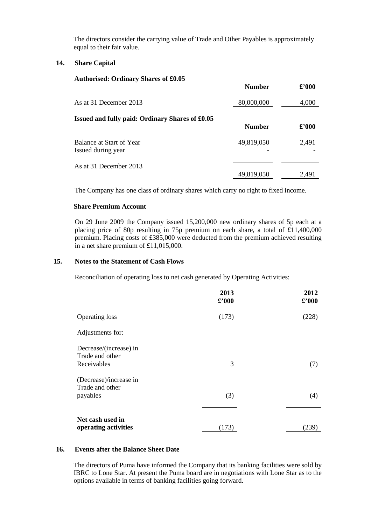The directors consider the carrying value of Trade and Other Payables is approximately equal to their fair value.

# **14. Share Capital**

#### **Authorised: Ordinary Shares of £0.05**

|                                                 | <b>Number</b> | $\pounds$ '000 |
|-------------------------------------------------|---------------|----------------|
| As at 31 December 2013                          | 80,000,000    | 4,000          |
| Issued and fully paid: Ordinary Shares of £0.05 | <b>Number</b> | $\pounds$ '000 |
| Balance at Start of Year<br>Issued during year  | 49,819,050    | 2,491          |
| As at 31 December 2013                          | 49,819,050    | 2,491          |

The Company has one class of ordinary shares which carry no right to fixed income.

### **Share Premium Account**

 On 29 June 2009 the Company issued 15,200,000 new ordinary shares of 5p each at a placing price of 80p resulting in 75p premium on each share, a total of £11,400,000 premium. Placing costs of £385,000 were deducted from the premium achieved resulting in a net share premium of £11,015,000.

### **15. Notes to the Statement of Cash Flows**

Reconciliation of operating loss to net cash generated by Operating Activities:

|                                                          | 2013<br>$\pounds$ '000 | 2012<br>$\pounds$ '000 |
|----------------------------------------------------------|------------------------|------------------------|
| <b>Operating loss</b>                                    | (173)                  | (228)                  |
| Adjustments for:                                         |                        |                        |
| Decrease/(increase) in<br>Trade and other<br>Receivables | 3                      | (7)                    |
| (Decrease)/increase in<br>Trade and other<br>payables    | (3)                    | (4)                    |
| Net cash used in<br>operating activities                 | (173)                  | (239)                  |

#### **16. Events after the Balance Sheet Date**

The directors of Puma have informed the Company that its banking facilities were sold by IBRC to Lone Star. At present the Puma board are in negotiations with Lone Star as to the options available in terms of banking facilities going forward.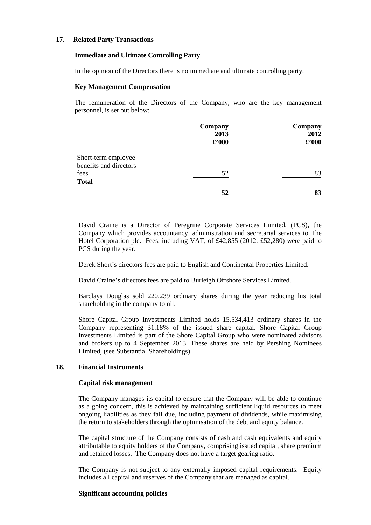### **17. Related Party Transactions**

#### **Immediate and Ultimate Controlling Party**

In the opinion of the Directors there is no immediate and ultimate controlling party.

#### **Key Management Compensation**

The remuneration of the Directors of the Company, who are the key management personnel, is set out below:

|                        | Company<br>2013<br>$\pounds$ '000 | Company<br>2012<br>$\pounds$ '000 |
|------------------------|-----------------------------------|-----------------------------------|
| Short-term employee    |                                   |                                   |
| benefits and directors |                                   |                                   |
| fees                   | 52                                | 83                                |
| <b>Total</b>           |                                   |                                   |
|                        | 52                                | 83                                |

David Craine is a Director of Peregrine Corporate Services Limited, (PCS), the Company which provides accountancy, administration and secretarial services to The Hotel Corporation plc. Fees, including VAT, of £42,855 (2012: £52,280) were paid to PCS during the year.

Derek Short's directors fees are paid to English and Continental Properties Limited.

David Craine's directors fees are paid to Burleigh Offshore Services Limited.

Barclays Douglas sold 220,239 ordinary shares during the year reducing his total shareholding in the company to nil.

Shore Capital Group Investments Limited holds 15,534,413 ordinary shares in the Company representing 31.18% of the issued share capital. Shore Capital Group Investments Limited is part of the Shore Capital Group who were nominated advisors and brokers up to 4 September 2013. These shares are held by Pershing Nominees Limited, (see Substantial Shareholdings).

#### **18. Financial Instruments**

#### **Capital risk management**

The Company manages its capital to ensure that the Company will be able to continue as a going concern, this is achieved by maintaining sufficient liquid resources to meet ongoing liabilities as they fall due, including payment of dividends, while maximising the return to stakeholders through the optimisation of the debt and equity balance.

The capital structure of the Company consists of cash and cash equivalents and equity attributable to equity holders of the Company, comprising issued capital, share premium and retained losses. The Company does not have a target gearing ratio.

The Company is not subject to any externally imposed capital requirements. Equity includes all capital and reserves of the Company that are managed as capital.

#### **Significant accounting policies**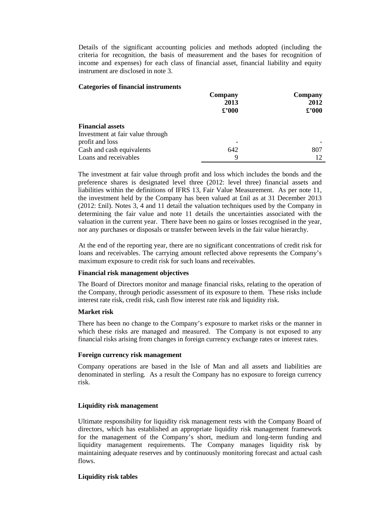Details of the significant accounting policies and methods adopted (including the criteria for recognition, the basis of measurement and the bases for recognition of income and expenses) for each class of financial asset, financial liability and equity instrument are disclosed in note 3.

### **Categories of financial instruments**

|                                  | Company        | Company<br>2012 |  |
|----------------------------------|----------------|-----------------|--|
|                                  | 2013           |                 |  |
|                                  | $\pounds$ '000 | $\pounds$ '000  |  |
| <b>Financial assets</b>          |                |                 |  |
| Investment at fair value through |                |                 |  |
| profit and loss                  |                |                 |  |
| Cash and cash equivalents        | 642            | 807             |  |
| Loans and receivables            | 9              |                 |  |

The investment at fair value through profit and loss which includes the bonds and the preference shares is designated level three (2012: level three) financial assets and liabilities within the definitions of IFRS 13, Fair Value Measurement. As per note 11, the investment held by the Company has been valued at £nil as at 31 December 2013 (2012: £nil). Notes 3, 4 and 11 detail the valuation techniques used by the Company in determining the fair value and note 11 details the uncertainties associated with the valuation in the current year. There have been no gains or losses recognised in the year, nor any purchases or disposals or transfer between levels in the fair value hierarchy.

At the end of the reporting year, there are no significant concentrations of credit risk for loans and receivables. The carrying amount reflected above represents the Company's maximum exposure to credit risk for such loans and receivables.

#### **Financial risk management objectives**

The Board of Directors monitor and manage financial risks, relating to the operation of the Company, through periodic assessment of its exposure to them. These risks include interest rate risk, credit risk, cash flow interest rate risk and liquidity risk.

### **Market risk**

There has been no change to the Company's exposure to market risks or the manner in which these risks are managed and measured. The Company is not exposed to any financial risks arising from changes in foreign currency exchange rates or interest rates.

#### **Foreign currency risk management**

Company operations are based in the Isle of Man and all assets and liabilities are denominated in sterling. As a result the Company has no exposure to foreign currency risk.

# **Liquidity risk management**

Ultimate responsibility for liquidity risk management rests with the Company Board of directors, which has established an appropriate liquidity risk management framework for the management of the Company's short, medium and long-term funding and liquidity management requirements. The Company manages liquidity risk by maintaining adequate reserves and by continuously monitoring forecast and actual cash flows.

# **Liquidity risk tables**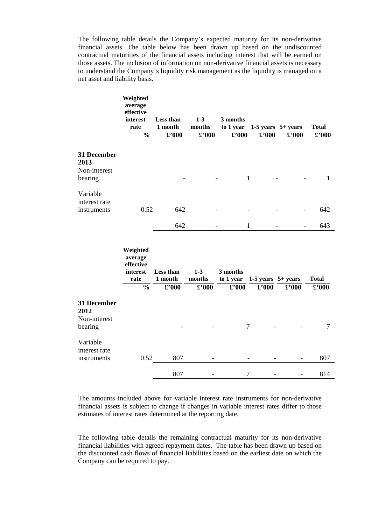The following table details the Company's expected maturity for its non-derivative financial assets. The table below has been drawn up based on the undiscounted contractual maturities of the financial assets including interest that will be earned on those assets. The inclusion of information on non-derivative financial assets is necessary to understand the Company's liquidity risk management as the liquidity is managed on a net asset and liability basis.

|                                                | Weighted<br>average<br>effective<br>interest<br>rate<br>$\frac{0}{0}$ | Less than<br>1 month<br>$\pmb{\pounds}^{\bullet}000$ | $1 - 3$<br>months<br>$\pmb{\pounds}^{\bullet}000$ | 3 months<br>to 1 year<br>$\pounds$ '000 | 1-5 years $5+$ years<br>$\pounds$ '000 | $\pounds$ '000               | <b>Total</b><br>$\pmb{\pounds}^{\pmb{\cdot}}000$ |
|------------------------------------------------|-----------------------------------------------------------------------|------------------------------------------------------|---------------------------------------------------|-----------------------------------------|----------------------------------------|------------------------------|--------------------------------------------------|
| 31 December<br>2013<br>Non-interest<br>bearing |                                                                       |                                                      |                                                   | $\mathbf{1}$                            |                                        |                              | $\mathbf{1}$                                     |
| Variable<br>interest rate<br>instruments       | 0.52                                                                  | 642                                                  |                                                   |                                         |                                        |                              | 642                                              |
|                                                |                                                                       | 642                                                  |                                                   | 1                                       |                                        |                              | 643                                              |
|                                                | Weighted<br>average<br>effective<br>interest<br>rate<br>$\frac{0}{0}$ | <b>Less than</b><br>1 month<br>$\pounds$ '000        | $1-3$<br>months<br>$\pounds$ '000                 | 3 months<br>to 1 year<br>$\pounds$ '000 | 1-5 years $5+$ years<br>$\pounds$ '000 | $\pmb{\pounds}^{\bullet}000$ | <b>Total</b><br>$\pounds$ '000                   |
| 31 December<br>2012<br>Non-interest<br>bearing |                                                                       |                                                      |                                                   | $\tau$                                  |                                        |                              | 7                                                |
| Variable<br>interest rate<br>instruments       | 0.52                                                                  | 807                                                  |                                                   |                                         |                                        |                              | 807                                              |
|                                                |                                                                       | 807                                                  |                                                   | $\overline{7}$                          |                                        | $\overline{a}$               | 814                                              |

The amounts included above for variable interest rate instruments for non-derivative financial assets is subject to change if changes in variable interest rates differ to those estimates of interest rates determined at the reporting date.

The following table details the remaining contractual maturity for its non-derivative financial liabilities with agreed repayment dates. The table has been drawn up based on the discounted cash flows of financial liabilities based on the earliest date on which the Company can be required to pay.